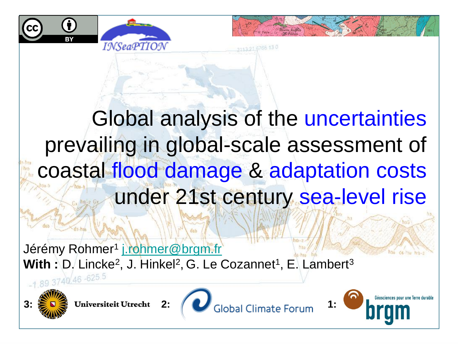



Global analysis of the uncertainties prevailing in global-scale assessment of coastal flood damage & adaptation costs under 21st century sea-level rise

Jérémy Rohmer<sup>1</sup> <u>[j.rohmer@brgm.fr](mailto:j.rohmer@brgm.fr)</u> **With : D. Lincke<sup>2</sup>, J. Hinkel<sup>2</sup>, G. Le Cozannet<sup>1</sup>, E. Lambert<sup>3</sup>** 





**3:**  $\frac{1}{2}$  **1:** Universiteit Utrecht 2: **1:** Global Climate Forum

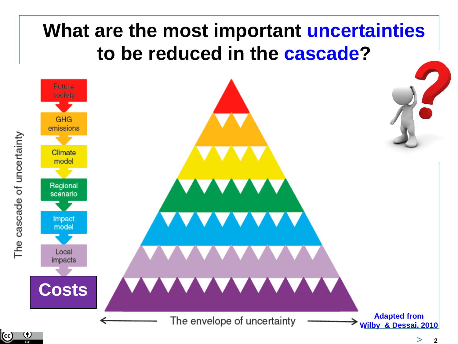## **What are the most important uncertainties to be reduced in the cascade?**

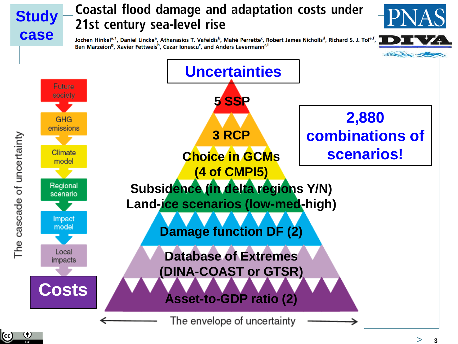## Coastal flood damage and adaptation costs under **Study** 21st century sea-level rise **case** Jochen Hinkel<sup>a, 1</sup>, Daniel Lincke<sup>a</sup>, Athanasios T. Vafeidis<sup>b</sup>, Mahé Perrette<sup>c</sup>, Robert James Nicholls<sup>d</sup>, Richard S. J. Tol<sup>e, f</sup>, Ben Marzeion<sup>9</sup>, Xavier Fettweis<sup>h</sup>, Cezar Ionescu<sup>c</sup>, and Anders Levermann<sup>c,i</sup> **Uncertainties**Future society **5 SSP 2,880**  GHG emissions **combinations of 3 RCP** The cascade of uncertainty **scenarios!** Climate **Choice in GCMs** model **(4 of CMPI5)** Regional **Subsidence (in delta regions Y/N)** scenario **Land-ice scenarios (low-med-high)** Impact model **Damage function DF (2)** Local **Database of Extremes** impacts **(DINA-COAST or GTSR) Costs Asset-to-GDP ratio (2)** The envelope of uncertainty

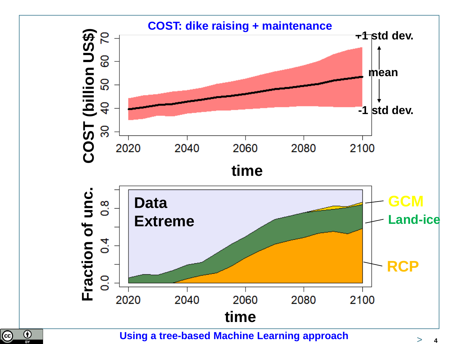

**Using a tree-based Machine Learning approach**

 $\overline{\textcircled{\text{c}}}$ 

 $\overline{\bigcirc}$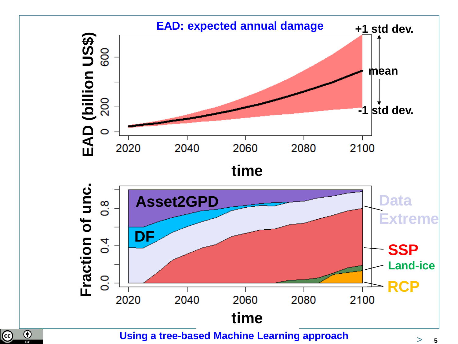

**Using a tree-based Machine Learning approach**

 $\overline{\mathbb{C}}$ 

 $\overline{\bigcirc}$